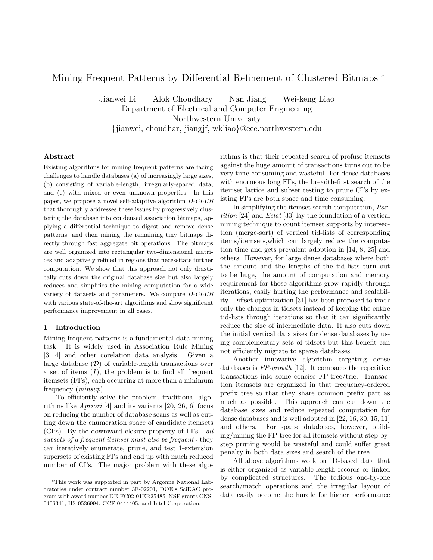# Mining Frequent Patterns by Differential Refinement of Clustered Bitmaps <sup>∗</sup>

Jianwei Li Alok Choudhary Nan Jiang Wei-keng Liao Department of Electrical and Computer Engineering Northwestern University {jianwei, choudhar, jiangjf, wkliao}@ece.northwestern.edu

#### Abstract

Existing algorithms for mining frequent patterns are facing challenges to handle databases (a) of increasingly large sizes, (b) consisting of variable-length, irregularly-spaced data, and (c) with mixed or even unknown properties. In this paper, we propose a novel self-adaptive algorithm D-CLUB that thoroughly addresses these issues by progressively clustering the database into condensed association bitmaps, applying a differential technique to digest and remove dense patterns, and then mining the remaining tiny bitmaps directly through fast aggregate bit operations. The bitmaps are well organized into rectangular two-dimensional matrices and adaptively refined in regions that necessitate further computation. We show that this approach not only drastically cuts down the original database size but also largely reduces and simplifies the mining computation for a wide variety of datasets and parameters. We compare D-CLUB with various state-of-the-art algorithms and show significant performance improvement in all cases.

#### 1 Introduction

Mining frequent patterns is a fundamental data mining task. It is widely used in Association Rule Mining [3, 4] and other corelation data analysis. Given a large database  $(D)$  of variable-length transactions over a set of items  $(I)$ , the problem is to find all frequent itemsets (FI's), each occurring at more than a minimum frequency (minsup).

To efficiently solve the problem, traditional algorithms like Apriori [4] and its variants [20, 26, 6] focus on reducing the number of database scans as well as cutting down the enumeration space of candidate itemsets (CI's). By the downward closure property of FI's - all subsets of a frequent itemset must also be frequent - they can iteratively enumerate, prune, and test 1-extension supersets of existing FI's and end up with much reduced number of CI's. The major problem with these algorithms is that their repeated search of profuse itemsets against the huge amount of transactions turns out to be very time-consuming and wasteful. For dense databases with enormous long FI's, the breadth-first search of the itemset lattice and subset testing to prune CI's by existing FI's are both space and time consuming.

In simplifying the itemset search computation, Partition [24] and Eclat [33] lay the foundation of a vertical mining technique to count itemset supports by intersection (merge-sort) of vertical tid-lists of corresponding items/itemsets,which can largely reduce the computation time and gets prevalent adoption in [14, 8, 25] and others. However, for large dense databases where both the amount and the lengths of the tid-lists turn out to be huge, the amount of computation and memory requirement for those algorithms grow rapidly through iterations, easily hurting the performance and scalability. Diffset optimization [31] has been proposed to track only the changes in tidsets instead of keeping the entire tid-lists through iterations so that it can significantly reduce the size of intermediate data. It also cuts down the initial vertical data sizes for dense databases by using complementary sets of tidsets but this benefit can not efficiently migrate to sparse databases.

Another innovative algorithm targeting dense databases is  $FP\text{-}growth$  [12]. It compacts the repetitive transactions into some concise FP-tree/trie. Transaction itemsets are organized in that frequency-ordered prefix tree so that they share common prefix part as much as possible. This approach can cut down the database sizes and reduce repeated computation for dense databases and is well adopted in [22, 16, 30, 15, 11] and others. For sparse databases, however, building/mining the FP-tree for all itemsets without step-bystep pruning would be wasteful and could suffer great penalty in both data sizes and search of the tree.

All above algorithms work on ID-based data that is either organized as variable-length records or linked by complicated structures. The tedious one-by-one search/match operations and the irregular layout of data easily become the hurdle for higher performance

<sup>∗</sup>This work was supported in part by Argonne National Laboratories under contract number 3F-02201, DOE's SciDAC program with award number DE-FC02-01ER25485, NSF grants CNS-0406341, IIS-0536994, CCF-0444405, and Intel Corporation.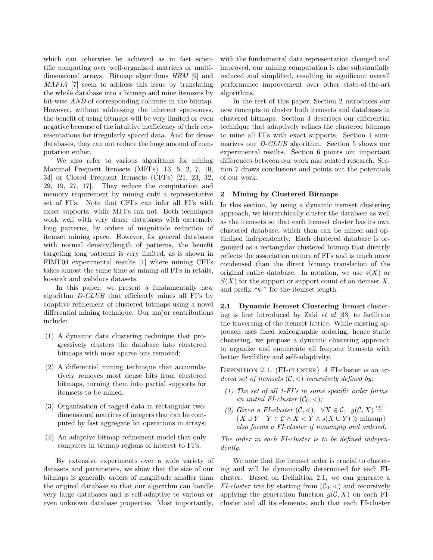which can otherwise be achieved as in fast scientific computing over well-organized matrices or multidimensional arrays. Bitmap algorithms HBM [9] and MAFIA [7] seem to address this issue by translating the whole database into a bitmap and mine itemsets by bit-wise AND of corresponding columns in the bitmap. However, without addressing the inherent sparseness, the benefit of using bitmaps will be very limited or even negative because of the intuitive inefficiency of their representations for irregularly spaced data. And for dense databases, they can not reduce the huge amount of computation either.

We also refer to various algorithms for mining Maximal Frequent Itemsets (MFI's) [13, 5, 2, 7, 10, 34] or Closed Frequent Itemsets (CFI's) [21, 23, 32, 29, 19, 27, 17]. They reduce the computation and memory requirement by mining only a representative set of FI's. Note that CFI's can infer all FI's with exact supports, while MFI's can not. Both techniques work well with very dense databases with extremely long patterns, by orders of magnitude reduction of itemset mining space. However, for general databases with normal density/length of patterns, the benefit targeting long patterns is very limited, as is shown in FIMI'04 experimental results [1] where mining CFI's takes almost the same time as mining all FI's in retails, kosarak and webdocs datasets.

In this paper, we present a fundamentally new algorithm D-CLUB that efficiently mines all FI's by adaptive refinement of clustered bitmaps using a novel differential mining technique. Our major contributions include:

- (1) A dynamic data clustering technique that progressively clusters the database into clustered bitmaps with most sparse bits removed;
- (2) A differential mining technique that accumulatively removes most dense bits from clustered bitmaps, turning them into partial supports for itemsets to be mined;
- (3) Organization of ragged data in rectangular twodimensional matrices of integers that can be computed by fast aggregate bit operations in arrays;
- (4) An adaptive bitmap refinement model that only computes in bitmap regions of interest to FI's.

By extensive experiments over a wide variety of datasets and parameters, we show that the size of our bitmaps is generally orders of magnitude smaller than the original database so that our algorithm can handle very large databases and is self-adaptive to various or even unknown database properties. Most importantly, with the fundamental data representation changed and improved, our mining computation is also substantially reduced and simplified, resulting in significant overall performance improvement over other state-of-the-art algorithms.

In the rest of this paper, Section 2 introduces our new concepts to cluster both itemsets and databases in clustered bitmaps. Section 3 describes our differential technique that adaptively refines the clustered bitmaps to mine all FI's with exact supports. Section 4 summarizes our D-CLUB algorithm. Section 5 shows our experimental results. Section 6 points out important differences between our work and related research. Section 7 draws conclusions and points out the potentials of our work.

# 2 Mining by Clustered Bitmaps

In this section, by using a dynamic itemset clustering approach, we hierarchically cluster the database as well as the itemsets so that each itemset cluster has its own clustered database, which then can be mined and optimized independently. Each clustered database is organized as a rectangular clustered bitmap that directly reflects the association nature of FI's and is much more condensed than the direct bitmap translation of the original entire database. In notation, we use  $s(X)$  or  $S(X)$  for the support or support count of an itemset X, and prefix "k-" for the itemset length.

2.1 Dynamic Itemset Clustering Itemset clustering is first introduced by Zaki et al [33] to facilitate the traversing of the itemset lattice. While existing approach uses fixed lexicographic ordering, hence static clustering, we propose a dynamic clustering approach to organize and enumerate all frequent itemsets with better flexibility and self-adaptivity.

DEFINITION 2.1. (FI-CLUSTER) A FI-cluster is an ordered set of itemsets  $(C, <)$  recursively defined by:

- (1) The set of all 1-FI's in some specific order forms an initial FI-cluster  $(\mathcal{C}_0, <);$
- (2) Given a FI-cluster  $(C, <)$ ,  $\forall X \in C$ ,  $g(C, X) \stackrel{\text{def}}{=}$  $\{X \cup Y \mid Y \in \mathcal{C} \wedge X < Y \wedge s(X \cup Y) \geqslant \text{minsup}\}$ also forms a FI-cluster if nonempty and ordered.

The order in each FI-cluster is to be defined independently.

We note that the itemset order is crucial to clustering and will be dynamically determined for each FIcluster. Based on Definition 2.1, we can generate a FI-cluster tree by starting from  $(\mathcal{C}_0, <)$  and recursively applying the generation function  $q(\mathcal{C}, X)$  on each FIcluster and all its elements, such that each FI-cluster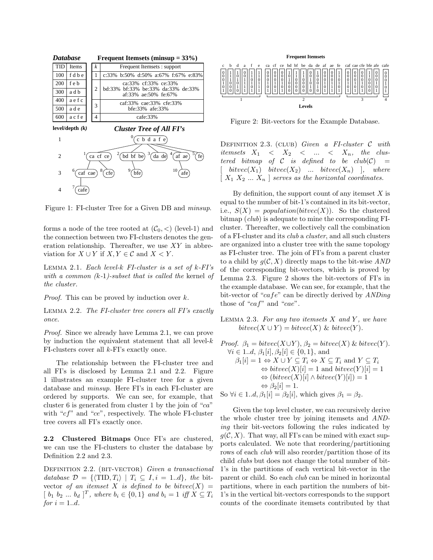

Figure 1: FI-cluster Tree for a Given DB and minsup.

forms a node of the tree rooted at  $(\mathcal{C}_0, \langle)$  (level-1) and the connection between two FI-clusters denotes the generation relationship. Thereafter, we use  $XY$  in abbreviation for  $X \cup Y$  if  $X, Y \in \mathcal{C}$  and  $X \leq Y$ .

LEMMA 2.1. Each level-k FI-cluster is a set of  $k$ -FI's with a common  $(k-1)$ -subset that is called the kernel of the cluster.

Proof. This can be proved by induction over k.

Lemma 2.2. The FI-cluster tree covers all FI's exactly once.

Proof. Since we already have Lemma 2.1, we can prove by induction the equivalent statement that all level- $k$  $F1$ -clusters cover all  $k$ - $F1$ 's exactly once.

The relationship between the FI-cluster tree and all FI's is disclosed by Lemma 2.1 and 2.2. Figure 1 illustrates an example FI-cluster tree for a given database and minsup. Here FI's in each FI-cluster are ordered by supports. We can see, for example, that cluster 6 is generated from cluster 1 by the join of " $ca$ " with " $cf$ " and " $ce$ ", respectively. The whole FI-cluster tree covers all FI's exactly once.

2.2 Clustered Bitmaps Once FI's are clustered, we can use the FI-clusters to cluster the database by Definition 2.2 and 2.3.

DEFINITION 2.2. (BIT-VECTOR) Given a transactional database  $\mathcal{D} = \{ \langle \text{TID}, T_i \rangle \mid T_i \subseteq I, i = 1..d \},\$  the bitvector of an itemset X is defined to be bitvec $(X)$  =  $[b_1 \ b_2 \dots \ b_d]^{T}$ , where  $b_i \in \{0,1\}$  and  $b_i = 1$  iff  $X \subseteq T_i$ for  $i = 1...d$ .



Figure 2: Bit-vectors for the Example Database.

DEFINITION 2.3. (CLUB) Given a FI-cluster  $C$  with itemsets  $X_1 \leq X_2 \leq \dots \leq X_n$ , the clustered bitmap of C is defined to be  $club(\mathcal{C}) =$  $bitvec(X_1)$  bitvec $(X_2)$  ... bitvec $(X_n)$  ], where  $[X_1 \ X_2 \ ... \ X_n]$  serves as the horizontal coordinates.

By definition, the support count of any itemset  $X$  is equal to the number of bit-1's contained in its bit-vector, i.e.,  $S(X) = population(bitvec(X))$ . So the clustered bitmap (club) is adequate to mine the corresponding FIcluster. Thereafter, we collectively call the combination of a FI-cluster and its club a cluster, and all such clusters are organized into a cluster tree with the same topology as FI-cluster tree. The join of FI's from a parent cluster to a child by  $q(C, X)$  directly maps to the bit-wise AND of the corresponding bit-vectors, which is proved by Lemma 2.3. Figure 2 shows the bit-vectors of FI's in the example database. We can see, for example, that the bit-vector of " $cafe$ " can be directly derived by  $ANDing$ those of " $caf$ " and " $cae$ ".

LEMMA 2.3. For any two itemsets  $X$  and  $Y$ , we have  $bitvec(X \cup Y) = bitvec(X)$  & bitvec(Y).

Proof.  $\beta_1 = \text{bitvec}(X \cup Y), \beta_2 = \text{bitvec}(X)$  & bitvec $(Y)$ .  $\forall i \in 1..d, \beta_1[i], \beta_2[i] \in \{0,1\},\$  and  $\beta_1[i] = 1 \Leftrightarrow X \cup Y \subseteq T_i \Leftrightarrow X \subseteq T_i$  and  $Y \subseteq T_i$  $\Leftrightarrow \text{bitvec}(X)[i] = 1$  and  $\text{bitvec}(Y)[i] = 1$  $\Leftrightarrow (bitvec(X)[i] \wedge bitvec(Y)[i]) = 1$  $\Leftrightarrow \beta_2[i] = 1.$ So  $\forall i \in 1..d, \beta_1[i] = \beta_2[i]$ , which gives  $\beta_1 = \beta_2$ .

Given the top level cluster, we can recursively derive the whole cluster tree by joining itemsets and ANDing their bit-vectors following the rules indicated by  $g(\mathcal{C}, X)$ . That way, all FI's can be mined with exact supports calculated. We note that reordering/partitioning rows of each club will also reorder/partition those of its child clubs but does not change the total number of bit-1's in the partitions of each vertical bit-vector in the parent or child. So each club can be mined in horizontal partitions, where in each partition the numbers of bit-1's in the vertical bit-vectors corresponds to the support counts of the coordinate itemsets contributed by that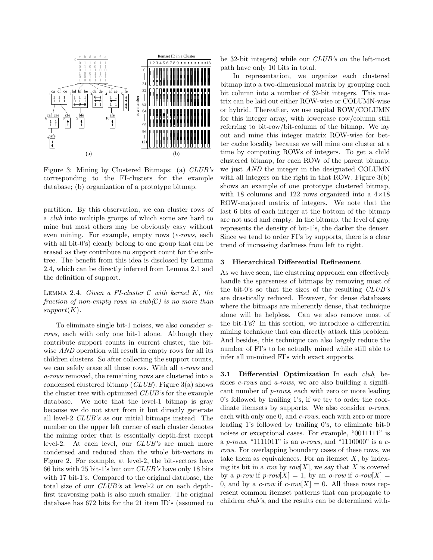

Figure 3: Mining by Clustered Bitmaps: (a) CLUB's corresponding to the FI-clusters for the example database; (b) organization of a prototype bitmap.

partition. By this observation, we can cluster rows of a club into multiple groups of which some are hard to mine but most others may be obviously easy without even mining. For example, empty rows (e-rows, each with all bit-0's) clearly belong to one group that can be erased as they contribute no support count for the subtree. The benefit from this idea is disclosed by Lemma 2.4, which can be directly inferred from Lemma 2.1 and the definition of support.

LEMMA 2.4. Given a FI-cluster  $C$  with kernel  $K$ , the fraction of non-empty rows in  $club(\mathcal{C})$  is no more than  $support(K).$ 

To eliminate single bit-1 noises, we also consider arows, each with only one bit-1 alone. Although they contribute support counts in current cluster, the bitwise *AND* operation will result in empty rows for all its children clusters. So after collecting the support counts, we can safely erase all those rows. With all *e-rows* and a-rows removed, the remaining rows are clustered into a condensed clustered bitmap  $CLUB$ . Figure 3(a) shows the cluster tree with optimized CLUB's for the example database. We note that the level-1 bitmap is gray because we do not start from it but directly generate all level-2 CLUB's as our initial bitmaps instead. The number on the upper left corner of each cluster denotes the mining order that is essentially depth-first except level-2. At each level, our CLUB's are much more condensed and reduced than the whole bit-vectors in Figure 2. For example, at level-2, the bit-vectors have 66 bits with 25 bit-1's but our CLUB's have only 18 bits with 17 bit-1's. Compared to the original database, the total size of our CLUB's at level-2 or on each depthfirst traversing path is also much smaller. The original database has 672 bits for the 21 item ID's (assumed to

be 32-bit integers) while our CLUB's on the left-most path have only 10 bits in total.

In representation, we organize each clustered bitmap into a two-dimensional matrix by grouping each bit column into a number of 32-bit integers. This matrix can be laid out either ROW-wise or COLUMN-wise or hybrid. Thereafter, we use capital ROW/COLUMN for this integer array, with lowercase row/column still referring to bit-row/bit-column of the bitmap. We lay out and mine this integer matrix ROW-wise for better cache locality because we will mine one cluster at a time by computing ROWs of integers. To get a child clustered bitmap, for each ROW of the parent bitmap, we just AND the integer in the designated COLUMN with all integers on the right in that ROW. Figure 3(b) shows an example of one prototype clustered bitmap, with 18 columns and 122 rows organized into a  $4\times18$ ROW-majored matrix of integers. We note that the last 6 bits of each integer at the bottom of the bitmap are not used and empty. In the bitmap, the level of gray represents the density of bit-1's, the darker the denser. Since we tend to order FI's by supports, there is a clear trend of increasing darkness from left to right.

## 3 Hierarchical Differential Refinement

As we have seen, the clustering approach can effectively handle the sparseness of bitmaps by removing most of the bit-0's so that the sizes of the resulting  $CLUB's$ are drastically reduced. However, for dense databases where the bitmaps are inherently dense, that technique alone will be helpless. Can we also remove most of the bit-1's? In this section, we introduce a differential mining technique that can directly attack this problem. And besides, this technique can also largely reduce the number of FI's to be actually mined while still able to infer all un-mined FI's with exact supports.

**3.1 Differential Optimization** In each *club*, besides *e-rows* and *a-rows*, we are also building a significant number of p-rows, each with zero or more leading 0's followed by trailing 1's, if we try to order the coordinate itemsets by supports. We also consider *o-rows*, each with only one 0, and *c-rows*, each with zero or more leading 1's followed by trailing 0's, to eliminate bit-0 noises or exceptional cases. For example, "0011111" is a *p-rows*, "1111011" is an *o-rows*, and "1110000" is a *c*rows. For overlapping boundary cases of these rows, we take them as equivalences. For an itemset  $X$ , by indexing its bit in a row by row[X], we say that X is covered by a p-row if p-row $[X] = 1$ , by an o-row if o-row $[X] =$ 0, and by a *c*-row if *c*-row[X] = 0. All these rows represent common itemset patterns that can propagate to children club's, and the results can be determined with-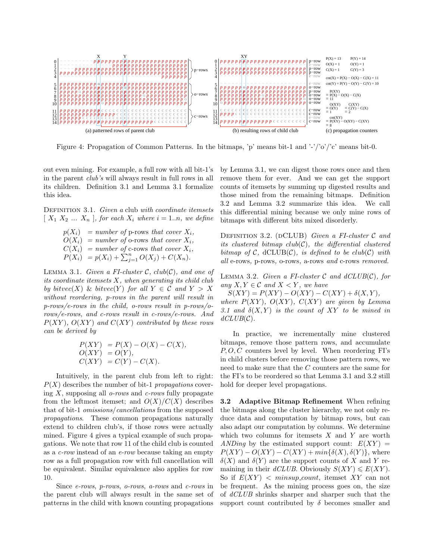

Figure 4: Propagation of Common Patterns. In the bitmaps, 'p' means bit-1 and '-'/'o'/'c' means bit-0.

out even mining. For example, a full row with all bit-1's in the parent club's will always result in full rows in all its children. Definition 3.1 and Lemma 3.1 formalize this idea.

DEFINITION 3.1. Given a club with coordinate itemsets  $[X_1 \ X_2 \ ... \ X_n]$ , for each  $X_i$  where  $i = 1..n$ , we define

> $p(X_i)$  = number of p-rows that cover  $X_i$ ,  $O(X_i)$  = number of o-rows that cover  $X_i$ ,  $C(X_i)$  = number of c-rows that cover  $X_i$ ,<br>  $P(X_i) = p(X_i) + \sum_{j=1}^n O(X_j) + C(X_n)$ .

LEMMA 3.1. Given a FI-cluster C,  $club(\mathcal{C})$ , and one of its coordinate itemsets  $X$ , when generating its child club by bitvec(X) & bitvec(Y) for all  $Y \in \mathcal{C}$  and  $Y > X$ without reordering, p-rows in the parent will result in  $p\text{-}rows/e\text{-}rows in the child, o\text{-}rows result in p\text{-}rows/o\text{-}$ rows/e-rows, and c-rows result in c-rows/e-rows. And  $P(XY)$ ,  $O(XY)$  and  $C(XY)$  contributed by these rows can be derived by

$$
P(XY) = P(X) - O(X) - C(X),
$$
  
\n
$$
O(XY) = O(Y),
$$
  
\n
$$
C(XY) = C(Y) - C(X).
$$

Intuitively, in the parent club from left to right:  $P(X)$  describes the number of bit-1 propagations covering  $X$ , supposing all *o-rows* and *c-rows* fully propagate from the leftmost itemset; and  $O(X)/C(X)$  describes that of bit-1 omissions/cancellations from the supposed propagations. These common propagations naturally extend to children club's, if those rows were actually mined. Figure 4 gives a typical example of such propagations. We note that row 11 of the child club is counted as a c-row instead of an e-row because taking an empty row as a full propagation row with full cancellation will be equivalent. Similar equivalence also applies for row 10.

Since e-rows, p-rows, o-rows, a-rows and c-rows in the parent club will always result in the same set of patterns in the child with known counting propagations

by Lemma 3.1, we can digest those rows once and then remove them for ever. And we can get the support counts of itemsets by summing up digested results and those mined from the remaining bitmaps. Definition 3.2 and Lemma 3.2 summarize this idea. We call this differential mining because we only mine rows of bitmaps with different bits mixed disorderly.

DEFINITION 3.2. (DCLUB) Given a FI-cluster  $\mathcal C$  and its clustered bitmap  $club(\mathcal{C})$ , the differential clustered bitmap of  $C$ ,  $dCLUB(C)$ , is defined to be  $club(C)$  with all e-rows, p-rows, o-rows, a-rows and c-rows removed.

LEMMA 3.2. Given a FI-cluster  $\mathcal C$  and  $dCLUB(\mathcal C)$ , for any  $X, Y \in \mathcal{C}$  and  $X \leq Y$ , we have

 $S(XY) = P(XY) - O(XY) - C(XY) + \delta(X, Y),$ where  $P(XY)$ ,  $O(XY)$ ,  $C(XY)$  are given by Lemma 3.1 and  $\delta(X, Y)$  is the count of XY to be mined in  $dCLUB(\mathcal{C})$ .

In practice, we incrementally mine clustered bitmaps, remove those pattern rows, and accumulate  $P, O, C$  counters level by level. When reordering  $FI$ 's in child clusters before removing those pattern rows, we need to make sure that the C counters are the same for the FI's to be reordered so that Lemma 3.1 and 3.2 still hold for deeper level propagations.

3.2 Adaptive Bitmap Refinement When refining the bitmaps along the cluster hierarchy, we not only reduce data and computation by bitmap rows, but can also adapt our computation by columns. We determine which two columns for itemsets  $X$  and  $Y$  are worth ANDing by the estimated support count:  $E(XY) =$  $P(XY) - O(XY) - C(XY) + min\{\delta(X), \delta(Y)\}\text{, where}$  $\delta(X)$  and  $\delta(Y)$  are the support counts of X and Y remaining in their dCLUB. Obviously  $S(XY) \leq E(XY)$ . So if  $E(XY)$  < minsup count, itemset XY can not be frequent. As the mining process goes on, the size of dCLUB shrinks sharper and sharper such that the support count contributed by  $\delta$  becomes smaller and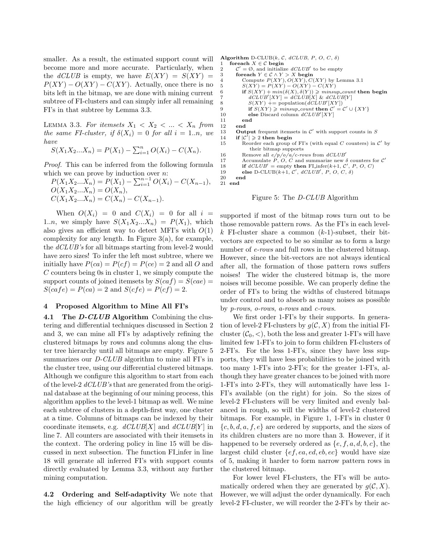smaller. As a result, the estimated support count will become more and more accurate. Particularly, when the  $dCLUB$  is empty, we have  $E(XY) = S(XY) =$  $P(XY) - O(XY) - C(XY)$ . Actually, once there is no bits left in the bitmap, we are done with mining current subtree of FI-clusters and can simply infer all remaining FI's in that subtree by Lemma 3.3.

LEMMA 3.3. For itemsets  $X_1 < X_2 < ... < X_n$  from the same FI-cluster, if  $\delta(X_i) = 0$  for all  $i = 1..n$ , we have

$$
S(X_1X_2...X_n) = P(X_1) - \sum_{i=1}^n O(X_i) - C(X_n).
$$

Proof. This can be inferred from the following formula which we can prove by induction over n:<br> $P(Y|Y) = P(Y) - \sum_{i=1}^{n-1} Q(Y)$ 

$$
P(X_1X_2...X_n) = P(X_1) - \sum_{i=1}^{n-1} O(X_i) - C(X_{n-1}),
$$
  
\n
$$
O(X_1X_2...X_n) = O(X_n),
$$
  
\n
$$
C(X_1X_2...X_n) = C(X_n) - C(X_{n-1}).
$$

When  $O(X_i) = 0$  and  $C(X_i) = 0$  for all  $i =$ 1..*n*, we simply have  $S(X_1X_2...X_n) = P(X_1)$ , which also gives an efficient way to detect MFI's with  $O(1)$ complexity for any length. In Figure  $3(a)$ , for example, the dCLUB's for all bitmaps starting from level-2 would have zero sizes! To infer the left most subtree, where we initially have  $P(ca) = P(cf) = P(ce) = 2$  and all O and  $C$  counters being 0s in cluster 1, we simply compute the support counts of joined itemsets by  $S(ca f) = S(ca e) =$  $S(cafe) = P(ca) = 2$  and  $S(cfe) = P(cf) = 2$ .

# 4 Proposed Algorithm to Mine All FI's

4.1 The D-CLUB Algorithm Combining the clustering and differential techniques discussed in Section 2 and 3, we can mine all FI's by adaptively refining the clustered bitmaps by rows and columns along the cluster tree hierarchy until all bitmaps are empty. Figure 5 summarizes our D-CLUB algorithm to mine all FI's in the cluster tree, using our differential clustered bitmaps. Although we configure this algorithm to start from each of the level-2 dCLUB's that are generated from the original database at the beginning of our mining process, this algorithm applies to the level-1 bitmap as well. We mine each subtree of clusters in a depth-first way, one cluster at a time. Columns of bitmaps can be indexed by their coordinate itemsets, e.g.  $dCLUB[X]$  and  $dCLUB[Y]$  in line 7. All counters are associated with their itemsets in the context. The ordering policy in line 15 will be discussed in next subsection. The function FI infer in line 18 will generate all inferred FI's with support counts directly evaluated by Lemma 3.3, without any further mining computation.

4.2 Ordering and Self-adaptivity We note that the high efficiency of our algorithm will be greatly

```
Algorithm D-CLUB(k, C, dCLUB, P, O, C, \delta)
1 foreach X \in \mathcal{C} begin<br>2 \mathcal{C}' = \emptyset, and initializi-
2 C' = \emptyset, and initialize dCLUB' to be empty
3 foreach Y \in \mathcal{C} \wedge Y > X begin
4 Compute P(XY), O(XY), C(XY) by Lemma 3.1<br>5 S(XY) = P(XY) - O(XY) - C(XY)6 if S(XY) + min(\delta(X), \delta(Y)) \geq minsup_{c} count then beging
7 dCLUB'[XY] = dCLUB[X] \& dCLUB[Y]8 S(XY) + = population(dCLUB'|XY|)
9 if S(XY) \geq minsup_{c}count then C' = C' \cup \{XY\}10 else Discard column dCLUB'[XY]11 end
12 end
13 Output frequent itemsets in \mathcal{C}' with support counts in S14 if |C| \geqslant 2 then begin
15 Reorder each group of FI's (with equal C counters) in C' by
           their bitmap supports
16 Remove all e/p/o/a/c-rows from dCLUB'17 Accumulate P, O, C and summarize new \delta counters for C'
18 if dCLUB' = \text{empty} then FL infer(k+1, C', P, O, C)
19 else D-CLUB(k+1, \mathcal{C}', dCLUB', P, O, C, \delta)20 end
```

```
21 end
```
#### Figure 5: The D-CLUB Algorithm

supported if most of the bitmap rows turn out to be those removable pattern rows. As the FI's in each levelk FI-cluster share a common  $(k-1)$ -subset, their bitvectors are expected to be so similar as to form a large number of *e-rows* and full rows in the clustered bitmap. However, since the bit-vectors are not always identical after all, the formation of those pattern rows suffers noises! The wider the clustered bitmap is, the more noises will become possible. We can properly define the order of FI's to bring the widths of clustered bitmaps under control and to absorb as many noises as possible by p-rows, o-rows, a-rows and c-rows.

We first order 1-FI's by their supports. In generation of level-2 FI-clusters by  $g(C, X)$  from the initial FIcluster  $(\mathcal{C}_0, <)$ , both the less and greater 1-FI's will have limited few 1-FI's to join to form children FI-clusters of 2-FI's. For the less 1-FI's, since they have less supports, they will have less probabilities to be joined with too many 1-FI's into 2-FI's; for the greater 1-FI's, although they have greater chances to be joined with more 1-FI's into 2-FI's, they will automatically have less 1- FI's available (on the right) for join. So the sizes of level-2 FI-clusters will be very limited and evenly balanced in rough, so will the widths of level-2 clustered bitmaps. For example, in Figure 1, 1-FI's in cluster 0  $\{c, b, d, a, f, e\}$  are ordered by supports, and the sizes of its children clusters are no more than 3. However, if it happened to be reversely ordered as  $\{e, f, a, d, b, c\}$ , the largest child cluster  $\{ef, ea, ed, eb, ec\}$  would have size of 5, making it harder to form narrow pattern rows in the clustered bitmap.

For lower level FI-clusters, the FI's will be automatically ordered when they are generated by  $g(C, X)$ . However, we will adjust the order dynamically. For each level-2 FI-cluster, we will reorder the 2-FI's by their ac-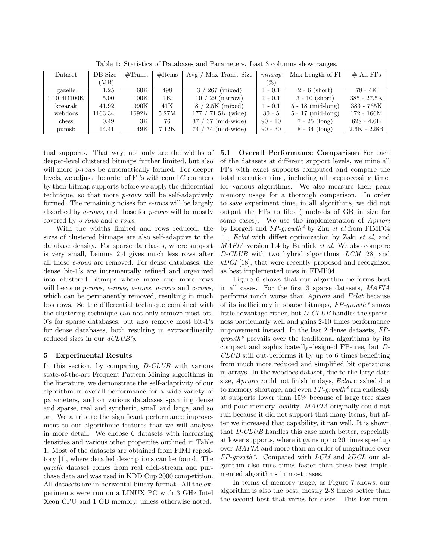| Dataset    | DB Size | #Trans. | $\#\text{Items}$ | Avg / Max Trans. Size            | minsup          | Max Length of FI     | $#$ All FI's                      |
|------------|---------|---------|------------------|----------------------------------|-----------------|----------------------|-----------------------------------|
|            | 'MB)    |         |                  |                                  | $\mathscr{C}_0$ |                      |                                   |
| gazelle    | 1.25    | 60K     | 498              | $267 \; (mixed)$                 | $1 - 0.1$       | $2 - 6$ (short)      | 78 - 4K                           |
| T10I4D100K | 5.00    | 100K    | 1K               | $29$ (narrow)<br>10 <sub>l</sub> | $1 - 0.1$       | $3 - 10$ (short)     | $385 - 27.5K$                     |
| kosarak    | 41.92   | 990K    | 41K              | $8/2.5K$ (mixed)                 | $1 - 0.1$       | $5 - 18 \ (midlong)$ | 383 - 765K                        |
| webdocs    | 1163.34 | 1692K   | 5.27M            | $/71.5K$ (wide)<br>177/          | $30 - 5$        | $5 - 17 \pmod{log}$  | $172 - 166M$                      |
| chess      | 0.49    | 3K      | 76               | (mid-wide)<br>-37<br>37          | $90 - 10$       | $7 - 25$ (long)      | $628 - 4.6B$                      |
| pumsb      | 14.41   | 49K     | 7.12K            | $'74 \ (mid-wide)$<br>74 /       | $90 - 30$       | $8 - 34$ (long)      | $2.6\mathrm{K}$ - $228\mathrm{B}$ |

Table 1: Statistics of Databases and Parameters. Last 3 columns show ranges.

tual supports. That way, not only are the widths of deeper-level clustered bitmaps further limited, but also will more *p-rows* be automatically formed. For deeper levels, we adjust the order of FI's with equal C counters by their bitmap supports before we apply the differential technique, so that more p-rows will be self-adaptively formed. The remaining noises for e-rows will be largely absorbed by a-rows, and those for p-rows will be mostly covered by o-rows and c-rows.

With the widths limited and rows reduced, the sizes of clustered bitmaps are also self-adaptive to the database density. For sparse databases, where support is very small, Lemma 2.4 gives much less rows after all those e-rows are removed. For dense databases, the dense bit-1's are incrementally refined and organized into clustered bitmaps where more and more rows will become p-rows, e-rows, o-rows, a-rows and c-rows, which can be permanently removed, resulting in much less rows. So the differential technique combined with the clustering technique can not only remove most bit-0's for sparse databases, but also remove most bit-1's for dense databases, both resulting in extraordinarily reduced sizes in our dCLUB's.

# 5 Experimental Results

In this section, by comparing D-CLUB with various state-of-the-art Frequent Pattern Mining algorithms in the literature, we demonstrate the self-adaptivity of our algorithm in overall performance for a wide variety of parameters, and on various databases spanning dense and sparse, real and synthetic, small and large, and so on. We attribute the significant performance improvement to our algorithmic features that we will analyze in more detail. We choose 6 datasets with increasing densities and various other properties outlined in Table 1. Most of the datasets are obtained from FIMI repository [1], where detailed descriptions can be found. The gazelle dataset comes from real click-stream and purchase data and was used in KDD Cup 2000 competition. All datasets are in horizontal binary format. All the experiments were run on a LINUX PC with 3 GHz Intel Xeon CPU and 1 GB memory, unless otherwise noted.

5.1 Overall Performance Comparison For each of the datasets at different support levels, we mine all FI's with exact supports computed and compare the total execution time, including all preprocessing time, for various algorithms. We also measure their peak memory usage for a thorough comparison. In order to save experiment time, in all algorithms, we did not output the FI's to files (hundreds of GB in size for some cases). We use the implementation of Apriori by Borgelt and  $FP\text{-}growth*$  by Zhu et al from FIMI'04 [1], Eclat with diffset optimization by Zaki et al, and MAFIA version 1.4 by Burdick *et al.* We also compare D-CLUB with two hybrid algorithms, LCM [28] and kDCI [18], that were recently proposed and recognized as best implemented ones in FIMI'04.

Figure 6 shows that our algorithm performs best in all cases. For the first 3 sparse datasets, MAFIA performs much worse than Apriori and Eclat because of its inefficiency in sparse bitmaps,  $FP\text{-}growth*$  shows little advantage either, but D-CLUB handles the sparseness particularly well and gains 2-10 times performance improvement instead. In the last 2 dense datasets, FP $growth*$  prevails over the traditional algorithms by its compact and sophisticatedly-designed FP-tree, but D-CLUB still out-performs it by up to 6 times benefiting from much more reduced and simplified bit operations in arrays. In the webdocs dataset, due to the large data size, Apriori could not finish in days, Eclat crashed due to memory shortage, and even  $FP\text{-}growth*$  ran endlessly at supports lower than 15% because of large tree sizes and poor memory locality. MAFIA originally could not run because it did not support that many items, but after we increased that capability, it ran well. It is shown that D-CLUB handles this case much better, especially at lower supports, where it gains up to 20 times speedup over MAFIA and more than an order of magnitude over  $FP\text{-}growth*$ . Compared with  $LCM$  and  $kDCI$ , our algorithm also runs times faster than these best implemented algorithms in most cases.

In terms of memory usage, as Figure 7 shows, our algorithm is also the best, mostly 2-8 times better than the second best that varies for cases. This low mem-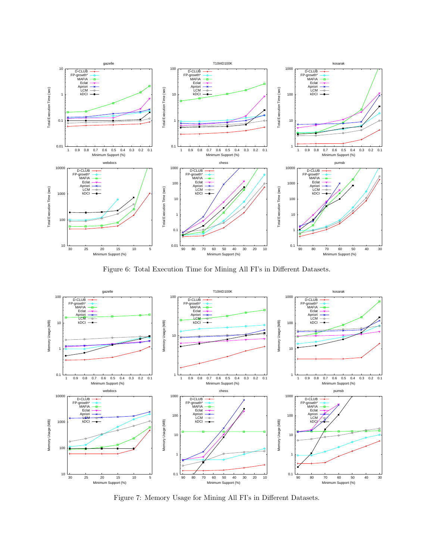

Figure 6: Total Execution Time for Mining All FI's in Different Datasets.



Figure 7: Memory Usage for Mining All FI's in Different Datasets.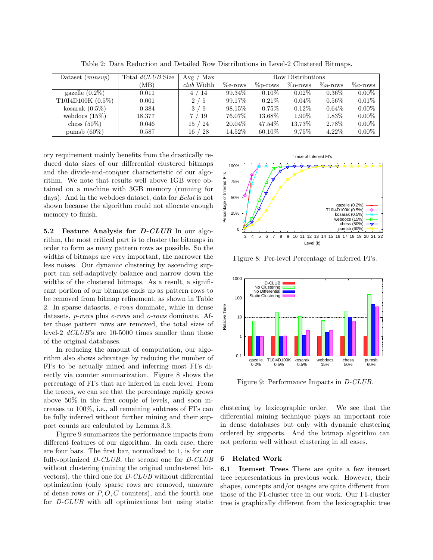| Dataset $(minsup)$   | Total dCLUB Size | Avg / Max             | Row Distributions |             |             |             |             |
|----------------------|------------------|-----------------------|-------------------|-------------|-------------|-------------|-------------|
|                      | 'MB)             | club Width            | $\%$ e-rows       | $\%$ p-rows | $\%$ o-rows | $\%a$ -rows | $\%$ c-rows |
| gazelle $(0.2\%)$    | 0.011            | 4 / 14                | 99.34\%           | $0.10\%$    | $0.02\%$    | $0.36\%$    | $0.00\%$    |
| $T10I4D100K (0.5\%)$ | 0.001            | 2/5                   | 99.17\%           | $0.21\%$    | $0.04\%$    | $0.56\%$    | 0.01%       |
| kosarak $(0.5\%)$    | 0.384            | 3/9                   | 98.15\%           | 0.75%       | $0.12\%$    | $0.64\%$    | $0.00\%$    |
| webdocs $(15\%)$     | 18.377           | 7/19                  | 76.07\%           | 13.68%      | 1.90%       | 1.83%       | $0.00\%$    |
| chess $(50\%)$       | 0.046            | 15/24                 | $20.04\%$         | 47.54\%     | 13.73%      | 2.78%       | $0.00\%$    |
| pumsb $(60\%)$       | 0.587            | $^{\prime}~28$<br>16, | 14.52%            | $60.10\%$   | 9.75%       | $4.22\%$    | $0.00\%$    |

Table 2: Data Reduction and Detailed Row Distributions in Level-2 Clustered Bitmaps.

ory requirement mainly benefits from the drastically reduced data sizes of our differential clustered bitmaps and the divide-and-conquer characteristic of our algorithm. We note that results well above 1GB were obtained on a machine with 3GB memory (running for days). And in the webdocs dataset, data for Eclat is not shown because the algorithm could not allocate enough memory to finish.

5.2 Feature Analysis for D-CLUB In our algorithm, the most critical part is to cluster the bitmaps in order to form as many pattern rows as possible. So the widths of bitmaps are very important, the narrower the less noises. Our dynamic clustering by ascending support can self-adaptively balance and narrow down the widths of the clustered bitmaps. As a result, a significant portion of our bitmaps ends up as pattern rows to be removed from bitmap refinement, as shown in Table 2. In sparse datasets, e-rows dominate, while in dense datasets, p-rows plus e-rows and o-rows dominate. After those pattern rows are removed, the total sizes of level-2 dCLUB's are 10-5000 times smaller than those of the original databases.

In reducing the amount of computation, our algorithm also shows advantage by reducing the number of FI's to be actually mined and inferring most FI's directly via counter summarization. Figure 8 shows the percentage of FI's that are inferred in each level. From the traces, we can see that the percentage rapidly grows above 50% in the first couple of levels, and soon increases to 100%, i.e., all remaining subtrees of FI's can be fully inferred without further mining and their support counts are calculated by Lemma 3.3.

Figure 9 summarizes the performance impacts from different features of our algorithm. In each case, there are four bars. The first bar, normalized to 1, is for our fully-optimized D-CLUB, the second one for D-CLUB without clustering (mining the original unclustered bitvectors), the third one for D-CLUB without differential optimization (only sparse rows are removed, unaware of dense rows or  $P, O, C$  counters), and the fourth one for D-CLUB with all optimizations but using static



Figure 8: Per-level Percentage of Inferred FI's.



Figure 9: Performance Impacts in D-CLUB.

clustering by lexicographic order. We see that the differential mining technique plays an important role in dense databases but only with dynamic clustering ordered by supports. And the bitmap algorithm can not perform well without clustering in all cases.

## 6 Related Work

6.1 Itemset Trees There are quite a few itemset tree representations in previous work. However, their shapes, concepts and/or usages are quite different from those of the FI-cluster tree in our work. Our FI-cluster tree is graphically different from the lexicographic tree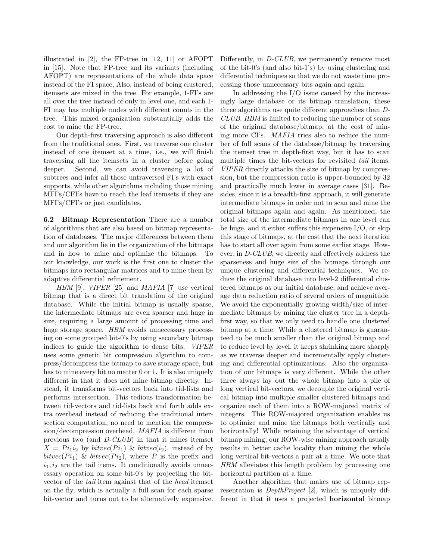illustrated in [2], the FP-tree in [12, 11] or AFOPT in [15]. Note that FP-tree and its variants (including AFOPT) are representations of the whole data space instead of the FI space, Also, instead of being clustered, itemsets are mixed in the tree. For example, 1-FI's are all over the tree instead of only in level one, and each 1- FI may has multiple nodes with different counts in the tree. This mixed organization substantially adds the cost to mine the FP-tree.

Our depth-first traversing approach is also different from the traditional ones. First, we traverse one cluster instead of one itemset at a time, i.e., we will finish traversing all the itemsets in a cluster before going deeper. Second, we can avoid traversing a lot of subtrees and infer all those untraversed FI's with exact supports, while other algorithms including those mining MFI's/CFI's have to reach the leaf itemsets if they are MFI's/CFI's or just candidates.

6.2 Bitmap Representation There are a number of algorithms that are also based on bitmap representation of databases. The major differences between them and our algorithm lie in the organization of the bitmaps and in how to mine and optimize the bitmaps. To our knowledge, our work is the first one to cluster the bitmaps into rectangular matrices and to mine them by adaptive differential refinement.

HBM [9], VIPER [25] and MAFIA [7] use vertical bitmap that is a direct bit translation of the original database. While the initial bitmap is usually sparse, the intermediate bitmaps are even sparser and huge in size, requiring a large amount of processing time and huge storage space. HBM avoids unnecessary processing on some grouped bit-0's by using secondary bitmap indices to guide the algorithm to dense bits. VIPER uses some generic bit compression algorithm to compress/decompress the bitmap to save storage space, but has to mine every bit no matter 0 or 1. It is also uniquely different in that it does not mine bitmap directly. Instead, it transforms bit-vectors back into tid-lists and performs intersection. This tedious transformation between tid-vectors and tid-lists back and forth adds extra overhead instead of reducing the traditional intersection computation, no need to mention the compression/decompression overhead. MAFIA is different from previous two (and D-CLUB) in that it mines itemset  $X = P_{i_1 i_2}$  by bitvec( $P_{i_1}$ ) & bitvec( $i_2$ ), instead of by bitvec( $Pi_1$ ) & bitvec( $Pi_2$ ), where P is the prefix and  $i_1, i_2$  are the tail items. It conditionally avoids unnecessary operation on some bit-0's by projecting the bitvector of the tail item against that of the head itemset on the fly, which is actually a full scan for each sparse bit-vector and turns out to be alternatively expensive.

Differently, in D-CLUB, we permanently remove most of the bit-0's (and also bit-1's) by using clustering and differential techniques so that we do not waste time processing those unnecessary bits again and again.

In addressing the I/O issue caused by the increasingly large database or its bitmap translation, these three algorithms use quite different approaches than D-CLUB. HBM is limited to reducing the number of scans of the original database/bitmap, at the cost of mining more CI's. MAFIA tries also to reduce the number of full scans of the database/bitmap by traversing the itemset tree in depth-first way, but it has to scan multiple times the bit-vectors for revisited *tail* items. VIPER directly attacks the size of bitmap by compression, but the compression ratio is upper-bounded by 32 and practically much lower in average cases [31]. Besides, since it is a breadth-first approach, it will generate intermediate bitmaps in order not to scan and mine the original bitmaps again and again. As mentioned, the total size of the intermediate bitmaps in one level can be huge, and it either suffers this expensive  $I/O$ , or skip this stage of bitmaps, at the cost that the next iteration has to start all over again from some earlier stage. However, in D-CLUB, we directly and effectively address the sparseness and huge size of the bitmaps through our unique clustering and differential techniques. We reduce the original database into level-2 differential clustered bitmaps as our initial database, and achieve average data reduction ratio of several orders of magnitude. We avoid the exponentially growing width/size of intermediate bitmaps by mining the cluster tree in a depthfirst way, so that we only need to handle one clustered bitmap at a time. While a clustered bitmap is guaranteed to be much smaller than the original bitmap and to reduce level by level, it keeps shrinking more sharply as we traverse deeper and incrementally apply clustering and differential optimizations. Also the organization of our bitmaps is very different. While the other three always lay out the whole bitmap into a pile of long vertical bit-vectors, we decouple the original vertical bitmap into multiple smaller clustered bitmaps and organize each of them into a ROW-majored matrix of integers. This ROW-majored organization enables us to optimize and mine the bitmaps both vertically and horizontally! While retaining the advantage of vertical bitmap mining, our ROW-wise mining approach usually results in better cache locality than mining the whole long vertical bit-vectors a pair at a time. We note that HBM alleviates this length problem by processing one horizontal partition at a time.

Another algorithm that makes use of bitmap representation is DepthProject [2], which is uniquely different in that it uses a projected horizontal bitmap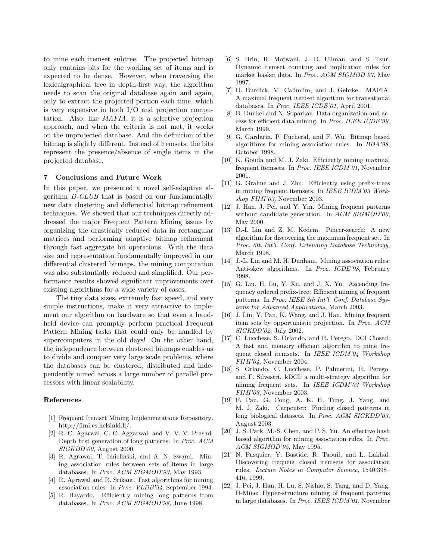to mine each itemset subtree. The projected bitmap only contains bits for the working set of items and is expected to be dense. However, when traversing the lexicalgraphical tree in depth-first way, the algorithm needs to scan the original database again and again, only to extract the projected portion each time, which is very expensive in both I/O and projection computation. Also, like MAFIA, it is a selective projection approach, and when the criteria is not met, it works on the unprojected database. And the definition of the bitmap is slightly different. Instead of itemsets, the bits represent the presence/absence of single items in the projected database.

#### 7 Conclusions and Future Work

In this paper, we presented a novel self-adaptive algorithm D-CLUB that is based on our fundamentally new data clustering and differential bitmap refinement techniques. We showed that our techniques directly addressed the major Frequent Pattern Mining issues by organizing the drastically reduced data in rectangular matrices and performing adaptive bitmap refinement through fast aggregate bit operations. With the data size and representation fundamentally improved in our differential clustered bitmaps, the mining computation was also substantially reduced and simplified. Our performance results showed significant improvements over existing algorithms for a wide variety of cases.

The tiny data sizes, extremely fast speed, and very simple instructions, make it very attractive to implement our algorithm on hardware so that even a handheld device can promptly perform practical Frequent Pattern Mining tasks that could only be handled by supercomputers in the old days! On the other hand, the independence between clustered bitmaps enables us to divide and conquer very large scale problems, where the databases can be clustered, distributed and independently mined across a large number of parallel processors with linear scalability.

#### References

- [1] Frequent Itemset Mining Implementations Repository. http://fimi.cs.helsinki.fi/.
- [2] R. C. Agarwal, C. C. Aggarwal, and V. V. V. Prasad. Depth first generation of long patterns. In Proc. ACM SIGKDD'00, August 2000.
- [3] R. Agrawal, T. Imielinski, and A. N. Swami. Mining association rules between sets of items in large databases. In Proc. ACM SIGMOD'93, May 1993.
- [4] R. Agrawal and R. Srikant. Fast algorithms for mining association rules. In Proc. VLDB'94, September 1994.
- [5] R. Bayardo. Efficiently mining long patterns from databases. In Proc. ACM SIGMOD'98, June 1998.
- [6] S. Brin, R. Motwani, J. D. Ullman, and S. Tsur. Dynamic itemset counting and implication rules for market basket data. In Proc. ACM SIGMOD'97, May 1997.
- [7] D. Burdick, M. Calimlim, and J. Gehrke. MAFIA: A maximal frequent itemset algorithm for transational databases. In Proc. IEEE ICDE'01, April 2001.
- [8] B. Dunkel and N. Soparkar. Data organization and access for efficient data mining. In Proc. IEEE ICDE'99, March 1999.
- [9] G. Gardarin, P. Pucheral, and F. Wu. Bitmap based algorithms for mining association rules. In BDA'98, October 1998.
- [10] K. Gouda and M. J. Zaki. Efficiently mining maximal frequent itemsets. In Proc. IEEE ICDM'01, November 2001.
- [11] G. Grahne and J. Zhu. Efficiently using prefix-trees in mining frequent itemsets. In IEEE ICDM'03 Workshop FIMI'03, November 2003.
- [12] J. Han, J. Pei, and Y. Yin. Mining frequent patterns without candidate generation. In ACM SIGMOD'00, May 2000.
- [13] D.-I. Lin and Z. M. Kedem. Pincer-search: A new algorithm for discovering the maximum frequent set. In Proc. 6th Int'l. Conf. Extending Database Technology, March 1998.
- [14] J.-L. Lin and M. H. Dunham. Mining association rules: Anti-skew algorithms. In Proc. ICDE'98, February 1998.
- [15] G. Liu, H. Lu, Y. Xu, and J. X. Yu. Ascending frequency ordered prefix-tree: Efficient mining of frequent patterns. In Proc. IEEE 8th Int'l. Conf. Database Systems for Advanced Applications, March 2003.
- [16] J. Liu, Y. Pan, K. Wang, and J. Han. Mining frequent item sets by opportunistic projection. In Proc. ACM SIGKDD'02, July 2002.
- [17] C. Lucchese, S. Orlando, and R. Perego. DCI Closed: A fast and memory efficient algorithm to mine frequent closed itemsets. In IEEE ICDM'04 Workshop FIMI'04, November 2004.
- [18] S. Orlando, C. Lucchese, P. Palmerini, R. Perego, and F. Silvestri. kDCI: a multi-strategy algorithm for mining frequent sets. In IEEE ICDM'03 Workshop FIMI'03, November 2003.
- [19] F. Pan, G. Cong, A. K. H. Tung, J. Yang, and M. J. Zaki. Carpenter: Finding closed patterns in long biological datasets. In Proc. ACM SIGKDD'03, August 2003.
- [20] J. S. Park, M.-S. Chen, and P. S. Yu. An effective hash based algorithm for mining association rules. In Proc. ACM SIGMOD'95, May 1995.
- [21] N. Pasquier, Y. Bastide, R. Taouil, and L. Lakhal. Discovering frequent closed itemsets for association rules. Lecture Notes in Computer Science, 1540:398– 416, 1999.
- [22] J. Pei, J. Han, H. Lu, S. Nishio, S. Tang, and D. Yang. H-Mine: Hyper-structure mining of frequent patterns in large databases. In Proc. IEEE ICDM'01, November